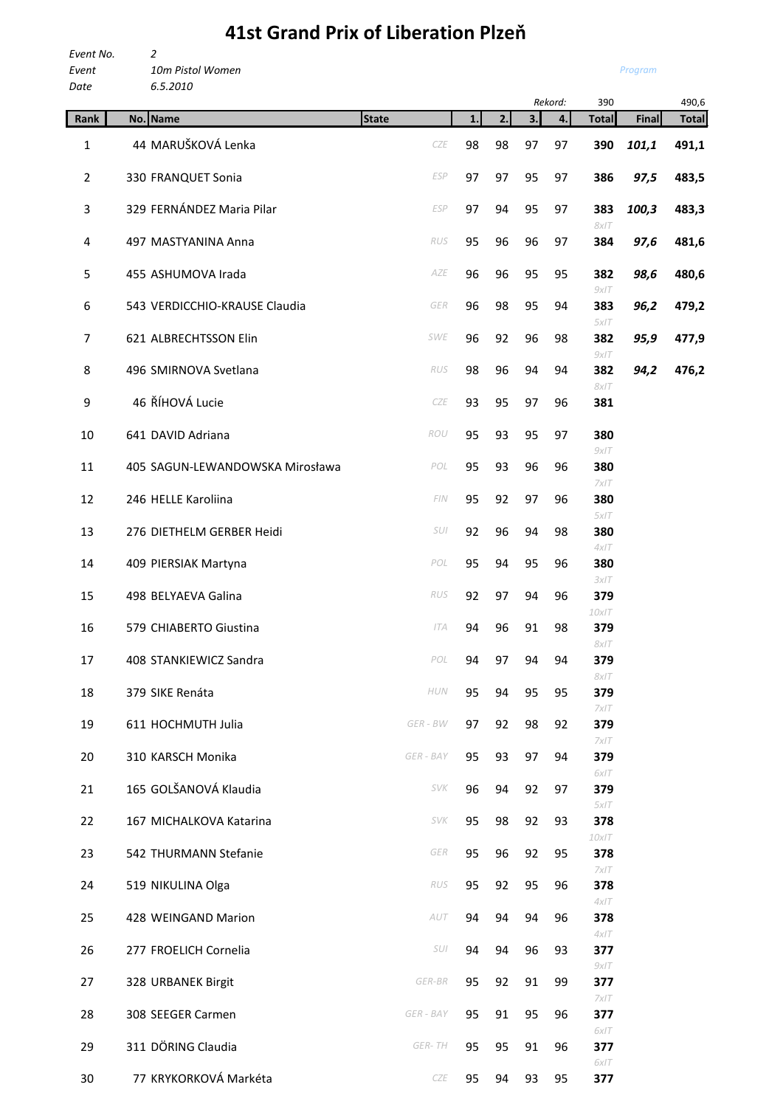## **41st Grand Prix of Liberation Plzeň**

*Event No. 2 Event 10m Pistol Women Date 6.5.2010*

```
Program
```

| vate           | <b>b.5.2010</b>                 |              |    |    |    | Rekord: | 390          |       | 490,6        |
|----------------|---------------------------------|--------------|----|----|----|---------|--------------|-------|--------------|
| Rank           | No. Name                        | <b>State</b> | 1. | 2. | 3. | 4.      | <b>Total</b> | Final | <b>Total</b> |
| $\mathbf{1}$   | 44 MARUŠKOVÁ Lenka              | CZE          | 98 | 98 | 97 | 97      | 390          | 101,1 | 491,1        |
| $\overline{2}$ | 330 FRANQUET Sonia              | <b>ESP</b>   | 97 | 97 | 95 | 97      | 386          | 97,5  | 483,5        |
| 3              | 329 FERNÁNDEZ Maria Pilar       | <b>ESP</b>   | 97 | 94 | 95 | 97      | 383<br>8x/T  | 100,3 | 483,3        |
| 4              | 497 MASTYANINA Anna             | RUS          | 95 | 96 | 96 | 97      | 384          | 97,6  | 481,6        |
| 5              | 455 ASHUMOVA Irada              | AZE          | 96 | 96 | 95 | 95      | 382<br>9x/T  | 98,6  | 480,6        |
| 6              | 543 VERDICCHIO-KRAUSE Claudia   | GER          | 96 | 98 | 95 | 94      | 383<br>5x/T  | 96,2  | 479,2        |
| $\overline{7}$ | 621 ALBRECHTSSON Elin           | SWE          | 96 | 92 | 96 | 98      | 382<br>9x/T  | 95,9  | 477,9        |
| 8              | 496 SMIRNOVA Svetlana           | RUS          | 98 | 96 | 94 | 94      | 382<br>8x/T  | 94,2  | 476,2        |
| 9              | 46 ŘÍHOVÁ Lucie                 | CZE          | 93 | 95 | 97 | 96      | 381          |       |              |
| 10             | 641 DAVID Adriana               | ROU          | 95 | 93 | 95 | 97      | 380<br>9x/T  |       |              |
| 11             | 405 SAGUN-LEWANDOWSKA Mirosława | POL          | 95 | 93 | 96 | 96      | 380<br>7x/T  |       |              |
| 12             | 246 HELLE Karoliina             | FIN          | 95 | 92 | 97 | 96      | 380<br>5x/T  |       |              |
| 13             | 276 DIETHELM GERBER Heidi       | SUI          | 92 | 96 | 94 | 98      | 380<br>4x/T  |       |              |
| 14             | 409 PIERSIAK Martyna            | POL          | 95 | 94 | 95 | 96      | 380<br>3x/T  |       |              |
| 15             | 498 BELYAEVA Galina             | RUS          | 92 | 97 | 94 | 96      | 379<br>10x/T |       |              |
| 16             | 579 CHIABERTO Giustina          | <b>ITA</b>   | 94 | 96 | 91 | 98      | 379<br>8x/T  |       |              |
| 17             | 408 STANKIEWICZ Sandra          | POL          | 94 | 97 | 94 | 94      | 379<br>8x/T  |       |              |
| 18             | 379 SIKE Renáta                 | HUN          | 95 | 94 | 95 | 95      | 379<br>7x/T  |       |              |
| 19             | 611 HOCHMUTH Julia              | GER - BW     | 97 | 92 | 98 | 92      | 379<br>7x/T  |       |              |
| 20             | 310 KARSCH Monika               | GER - BAY    | 95 | 93 | 97 | 94      | 379<br>6x/T  |       |              |
| 21             | 165 GOLŠANOVÁ Klaudia           | SVK          | 96 | 94 | 92 | 97      | 379<br>5x/T  |       |              |
| 22             | 167 MICHALKOVA Katarina         | SVK          | 95 | 98 | 92 | 93      | 378<br>10x/T |       |              |
| 23             | 542 THURMANN Stefanie           | GER          | 95 | 96 | 92 | 95      | 378<br>7x/7  |       |              |
| 24             | 519 NIKULINA Olga               | RUS          | 95 | 92 | 95 | 96      | 378<br>4x/T  |       |              |
| 25             | 428 WEINGAND Marion             | AUT          | 94 | 94 | 94 | 96      | 378<br>4x/T  |       |              |
| 26             | 277 FROELICH Cornelia           | SUI          | 94 | 94 | 96 | 93      | 377<br>9x/T  |       |              |
| 27             | 328 URBANEK Birgit              | $GER-BR$     | 95 | 92 | 91 | 99      | 377<br>7x/T  |       |              |
| 28             | 308 SEEGER Carmen               | GER - BAY    | 95 | 91 | 95 | 96      | 377<br>6x/T  |       |              |
| 29             | 311 DÖRING Claudia              | GER-TH       | 95 | 95 | 91 | 96      | 377<br>6x/T  |       |              |
| 30             | 77 KRYKORKOVÁ Markéta           | CZE          | 95 | 94 | 93 | 95      | 377          |       |              |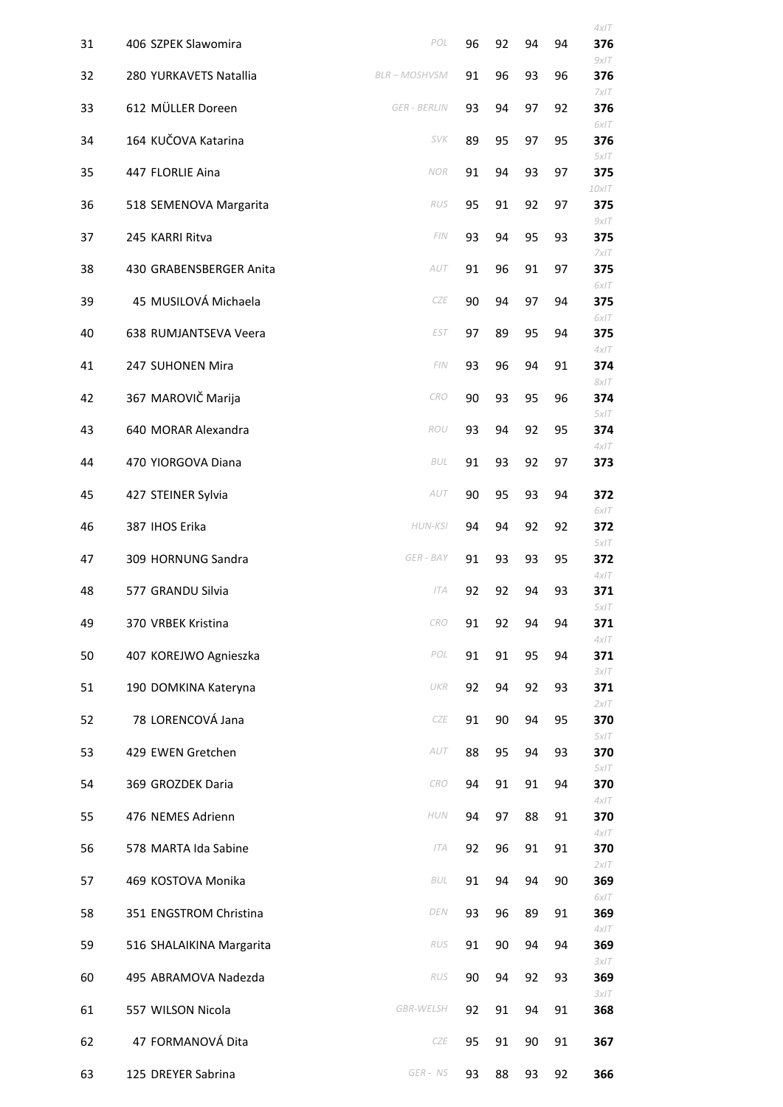|    |                          |                     |    |    |    |    | $4x$ IT         |
|----|--------------------------|---------------------|----|----|----|----|-----------------|
| 31 | 406 SZPEK Slawomira      | POL                 | 96 | 92 | 94 | 94 | 376<br>9x/T     |
| 32 | 280 YURKAVETS Natallia   | <b>BLR-MOSHVSM</b>  | 91 | 96 | 93 | 96 | 376<br>7x/T     |
| 33 | 612 MÜLLER Doreen        | <b>GER - BERLIN</b> | 93 | 94 | 97 | 92 | 376<br>6xIT     |
| 34 | 164 KUČOVA Katarina      | <b>SVK</b>          | 89 | 95 | 97 | 95 | 376<br>5x/T     |
| 35 | 447 FLORLIE Aina         | NOR                 | 91 | 94 | 93 | 97 | 375<br>$10x$ IT |
| 36 | 518 SEMENOVA Margarita   | RUS                 | 95 | 91 | 92 | 97 | 375<br>9x/T     |
| 37 | 245 KARRI Ritva          | FIN                 | 93 | 94 | 95 | 93 | 375<br>7x/T     |
| 38 | 430 GRABENSBERGER Anita  | AUT                 | 91 | 96 | 91 | 97 | 375             |
| 39 | 45 MUSILOVÁ Michaela     | CZE                 | 90 | 94 | 97 | 94 | 6x/T<br>375     |
| 40 | 638 RUMJANTSEVA Veera    | <b>EST</b>          | 97 | 89 | 95 | 94 | 6xIT<br>375     |
| 41 | 247 SUHONEN Mira         | FIN                 | 93 | 96 | 94 | 91 | 4x/T<br>374     |
| 42 | 367 MAROVIČ Marija       | <b>CRO</b>          | 90 | 93 | 95 | 96 | 8x/T<br>374     |
| 43 | 640 MORAR Alexandra      | ROU                 | 93 | 94 | 92 | 95 | 5x/T<br>374     |
| 44 | 470 YIORGOVA Diana       | <b>BUL</b>          | 91 | 93 | 92 | 97 | 4x/T<br>373     |
| 45 | 427 STEINER Sylvia       | AUT                 | 90 | 95 | 93 | 94 | 372             |
| 46 | 387 IHOS Erika           | <b>HUN-KSI</b>      | 94 | 94 | 92 | 92 | 6xIT<br>372     |
| 47 | 309 HORNUNG Sandra       | GER - BAY           | 91 | 93 | 93 | 95 | 5x/T<br>372     |
| 48 | 577 GRANDU Silvia        | <b>ITA</b>          | 92 | 92 | 94 | 93 | $4x$ IT<br>371  |
| 49 | 370 VRBEK Kristina       | <b>CRO</b>          | 91 | 92 | 94 | 94 | 5x/T<br>371     |
| 50 | 407 KOREJWO Agnieszka    | POL                 | 91 | 91 | 95 | 94 | 4x/T<br>371     |
| 51 | 190 DOMKINA Kateryna     | UKR                 | 92 | 94 | 92 | 93 | 3x/T<br>371     |
| 52 | 78 LORENCOVÁ Jana        | CZE                 | 91 | 90 | 94 | 95 | 2x/T<br>370     |
| 53 | 429 EWEN Gretchen        | AUT                 | 88 | 95 | 94 | 93 | 5x/T<br>370     |
| 54 | 369 GROZDEK Daria        | CRO                 | 94 | 91 | 91 | 94 | $5x$ IT<br>370  |
| 55 | 476 NEMES Adrienn        | HUN                 | 94 | 97 | 88 | 91 | $4x$ IT<br>370  |
| 56 | 578 MARTA Ida Sabine     | <b>ITA</b>          | 92 | 96 | 91 | 91 | $4x$ IT<br>370  |
| 57 | 469 KOSTOVA Monika       | BUL                 | 91 | 94 | 94 | 90 | 2x/T<br>369     |
| 58 | 351 ENGSTROM Christina   | DEN                 | 93 | 96 | 89 | 91 | 6xIT<br>369     |
| 59 | 516 SHALAIKINA Margarita | RUS                 | 91 | 90 | 94 | 94 | $4x$ IT<br>369  |
| 60 | 495 ABRAMOVA Nadezda     | RUS                 | 90 | 94 | 92 | 93 | 3x/T<br>369     |
| 61 | 557 WILSON Nicola        | <b>GBR-WELSH</b>    | 92 | 91 | 94 | 91 | 3x/T<br>368     |
| 62 | 47 FORMANOVÁ Dita        | CZE                 | 95 | 91 | 90 | 91 | 367             |
| 63 | 125 DREYER Sabrina       | GER-NS              | 93 | 88 | 93 | 92 | 366             |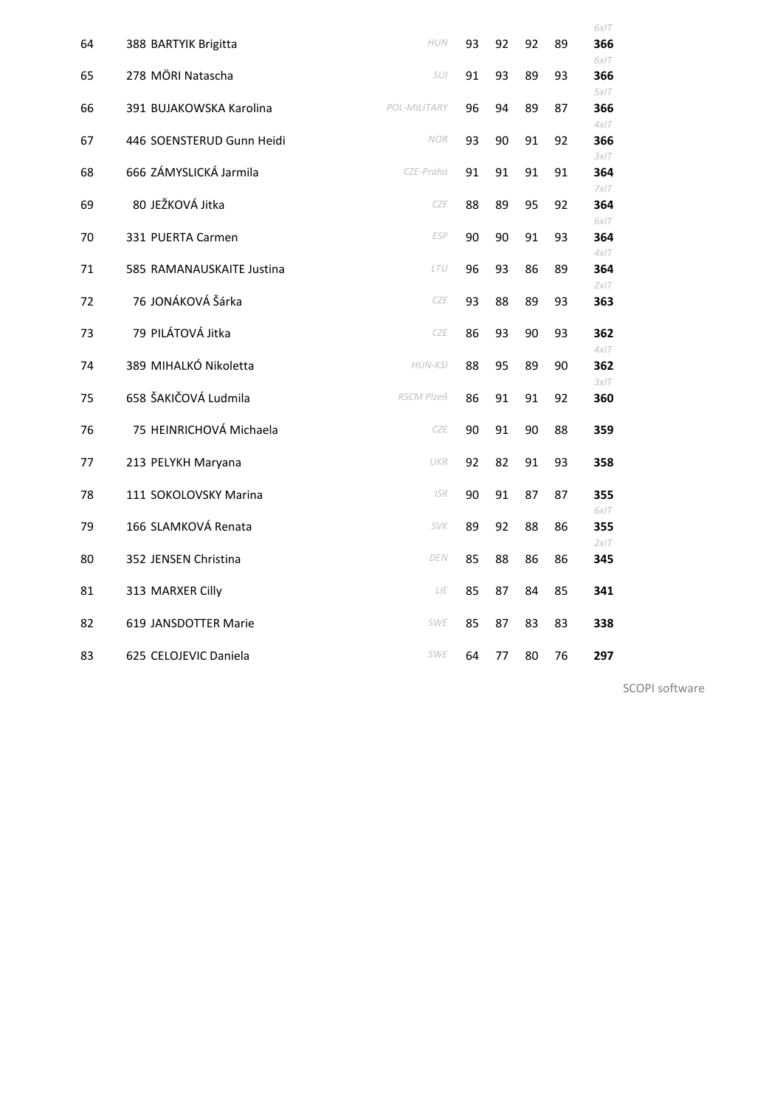|    |                           |              |    |    |    |    | 6xIT        |
|----|---------------------------|--------------|----|----|----|----|-------------|
| 64 | 388 BARTYIK Brigitta      | <b>HUN</b>   | 93 | 92 | 92 | 89 | 366         |
| 65 | 278 MÖRI Natascha         | SUI          | 91 | 93 | 89 | 93 | 6x/T<br>366 |
| 66 | 391 BUJAKOWSKA Karolina   | POL-MILITARY | 96 | 94 | 89 | 87 | 5x/T<br>366 |
|    |                           |              |    |    |    |    | 4x/T        |
| 67 | 446 SOENSTERUD Gunn Heidi | <b>NOR</b>   | 93 | 90 | 91 | 92 | 366         |
| 68 | 666 ZÁMYSLICKÁ Jarmila    | CZE-Praha    | 91 | 91 | 91 | 91 | 3x/T<br>364 |
|    |                           |              |    |    |    |    | 7x/T        |
| 69 | 80 JEŽKOVÁ Jitka          | <b>CZE</b>   | 88 | 89 | 95 | 92 | 364<br>6x/T |
| 70 | 331 PUERTA Carmen         | ESP          | 90 | 90 | 91 | 93 | 364         |
| 71 | 585 RAMANAUSKAITE Justina | LTU          | 96 | 93 | 86 | 89 | 4x/T<br>364 |
|    |                           |              |    |    |    |    | 2x/T        |
| 72 | 76 JONÁKOVÁ Šárka         | CZE          | 93 | 88 | 89 | 93 | 363         |
| 73 | 79 PILÁTOVÁ Jitka         | <b>CZE</b>   | 86 | 93 | 90 | 93 | 362         |
| 74 | 389 MIHALKÓ Nikoletta     | HUN-KSI      | 88 | 95 | 89 | 90 | 4x/T<br>362 |
|    |                           |              |    |    |    |    | 3xIT        |
| 75 | 658 ŠAKIČOVÁ Ludmila      | RSCM Plzeň   | 86 | 91 | 91 | 92 | 360         |
| 76 | 75 HEINRICHOVÁ Michaela   | CZE          | 90 | 91 | 90 | 88 | 359         |
|    |                           |              |    |    |    |    |             |
| 77 | 213 PELYKH Maryana        | UKR          | 92 | 82 | 91 | 93 | 358         |
| 78 | 111 SOKOLOVSKY Marina     | <b>ISR</b>   | 90 | 91 | 87 | 87 | 355         |
| 79 | 166 SLAMKOVÁ Renata       | <b>SVK</b>   | 89 | 92 | 88 | 86 | 6x/T<br>355 |
|    |                           |              |    |    |    |    | 2x/T        |
| 80 | 352 JENSEN Christina      | DEN          | 85 | 88 | 86 | 86 | 345         |
| 81 | 313 MARXER Cilly          | LIE          | 85 | 87 | 84 | 85 | 341         |
| 82 | 619 JANSDOTTER Marie      | <b>SWE</b>   | 85 | 87 | 83 | 83 | 338         |
|    |                           |              |    |    |    |    |             |
| 83 | 625 CELOJEVIC Daniela     | <b>SWE</b>   | 64 | 77 | 80 | 76 | 297         |

SCOPI software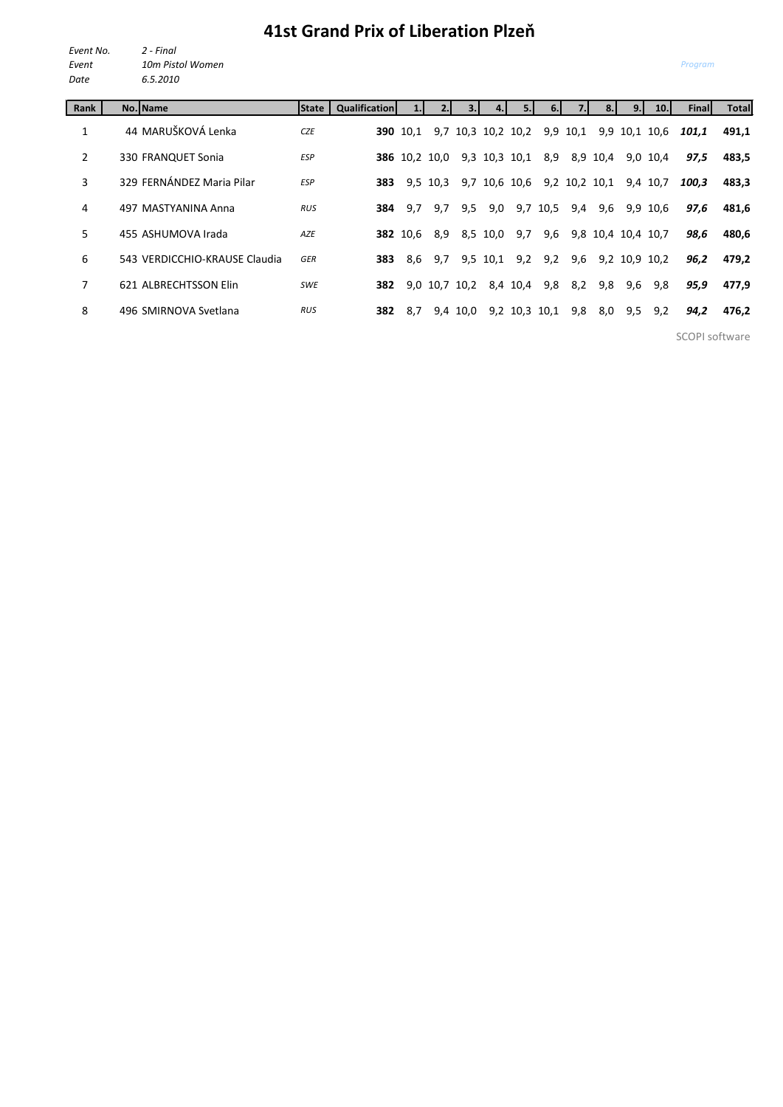## **41st Grand Prix of Liberation Plzeň**

*Event No. 2 - Final Event 10m Pistol Women Date 6.5.2010*

| Rank           | No. Name                      | <b>State</b> I | <b>Qualification</b> |                 |                      |          |          | 5.1                | 6.       |          |                    | 9.1           | 10.1      | Finall | Total |
|----------------|-------------------------------|----------------|----------------------|-----------------|----------------------|----------|----------|--------------------|----------|----------|--------------------|---------------|-----------|--------|-------|
| 1              | 44 MARUŠKOVÁ Lenka            | <b>CZE</b>     |                      | <b>390</b> 10.1 |                      |          |          | 9,7 10,3 10,2 10,2 |          | 9,9 10,1 | 9,9                |               | 10,1 10,6 | 101,1  | 491,1 |
| $\overline{2}$ | 330 FRANQUET Sonia            | <b>ESP</b>     |                      |                 | <b>386</b> 10,2 10,0 |          |          | 9,3 10,3 10,1      | 8,9      |          | 8,9 10,4           |               | 9,0 10,4  | 97,5   | 483,5 |
| 3              | 329 FERNÁNDEZ Maria Pilar     | <b>ESP</b>     | 383                  |                 | 9,5 10,3             |          |          | 9,7 10,6 10,6      |          |          | 9,2 10,2 10,1      |               | 9,4 10,7  | 100.3  | 483.3 |
| 4              | 497 MASTYANINA Anna           | <b>RUS</b>     | 384                  | 9.7             | 9,7                  | 9,5      | 9,0      |                    | 9,7 10,5 | 9,4      | 9,6                |               | 9,9 10,6  | 97,6   | 481,6 |
| 5              | 455 ASHUMOVA Irada            | AZE            |                      | <b>382</b> 10.6 | 8,9                  |          | 8,5 10,0 | 9,7                | 9,6      |          | 9,8 10,4 10,4 10,7 |               |           | 98,6   | 480,6 |
| 6              | 543 VERDICCHIO-KRAUSE Claudia | <b>GER</b>     | 383                  | 8.6             | 9,7                  |          | 9,5 10,1 | 9,2                | 9,2      | 9,6      |                    | 9,2 10,9 10,2 |           | 96,2   | 479,2 |
| 7              | 621 ALBRECHTSSON Elin         | <b>SWE</b>     | 382                  |                 | 9,0 10,7 10,2        |          |          | 8,4 10,4           | 9,8      | 8,2      | 9,8                | 9,6           | 9,8       | 95,9   | 477.9 |
| 8              | 496 SMIRNOVA Svetlana         | <b>RUS</b>     | 382                  | 8,7             |                      | 9,4 10,0 |          | 9,2 10,3 10,1      |          | 9,8      | 8,0                | 9,5           | 9,2       | 94,2   | 476,2 |
|                |                               |                |                      |                 |                      |          |          |                    |          |          |                    |               |           |        |       |

SCOPI software